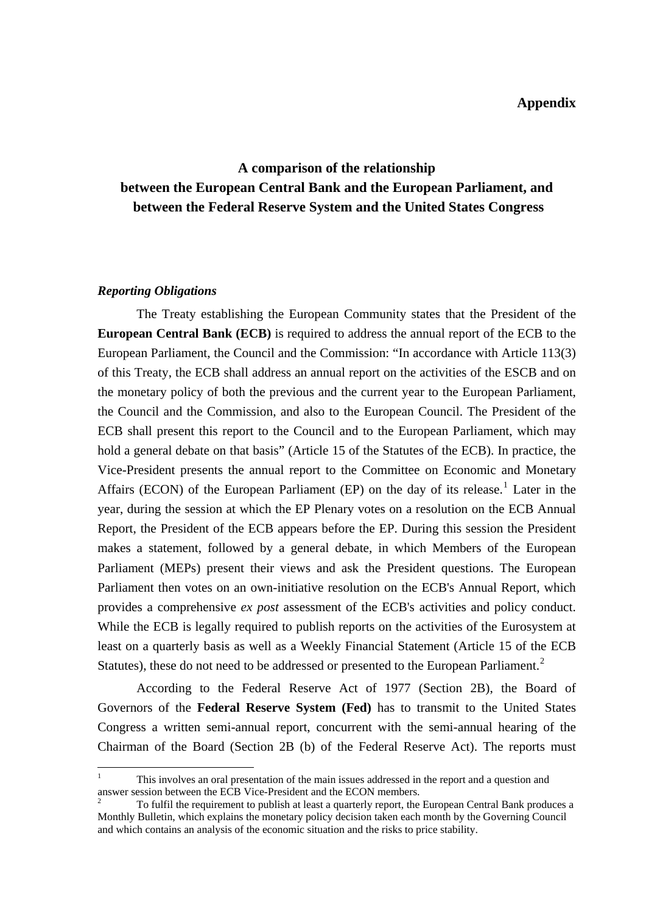# **A comparison of the relationship between the European Central Bank and the European Parliament, and between the Federal Reserve System and the United States Congress**

#### *Reporting Obligations*

<u>.</u>

The Treaty establishing the European Community states that the President of the **European Central Bank (ECB)** is required to address the annual report of the ECB to the European Parliament, the Council and the Commission: "In accordance with Article 113(3) of this Treaty, the ECB shall address an annual report on the activities of the ESCB and on the monetary policy of both the previous and the current year to the European Parliament, the Council and the Commission, and also to the European Council. The President of the ECB shall present this report to the Council and to the European Parliament, which may hold a general debate on that basis" (Article 15 of the Statutes of the ECB). In practice, the Vice-President presents the annual report to the Committee on Economic and Monetary Affairs (ECON) of the European Parliament (EP) on the day of its release.<sup>[1](#page-0-0)</sup> Later in the year, during the session at which the EP Plenary votes on a resolution on the ECB Annual Report, the President of the ECB appears before the EP. During this session the President makes a statement, followed by a general debate, in which Members of the European Parliament (MEPs) present their views and ask the President questions. The European Parliament then votes on an own-initiative resolution on the ECB's Annual Report, which provides a comprehensive *ex post* assessment of the ECB's activities and policy conduct. While the ECB is legally required to publish reports on the activities of the Eurosystem at least on a quarterly basis as well as a Weekly Financial Statement (Article 15 of the ECB Statutes), these do not need to be addressed or presented to the European Parliament.<sup>[2](#page-0-1)</sup>

According to the Federal Reserve Act of 1977 (Section 2B), the Board of Governors of the **Federal Reserve System (Fed)** has to transmit to the United States Congress a written semi-annual report, concurrent with the semi-annual hearing of the Chairman of the Board (Section 2B (b) of the Federal Reserve Act). The reports must

<span id="page-0-0"></span><sup>1</sup> This involves an oral presentation of the main issues addressed in the report and a question and answer session between the ECB Vice-President and the ECON members. 2

<span id="page-0-1"></span>To fulfil the requirement to publish at least a quarterly report, the European Central Bank produces a Monthly Bulletin, which explains the monetary policy decision taken each month by the Governing Council and which contains an analysis of the economic situation and the risks to price stability.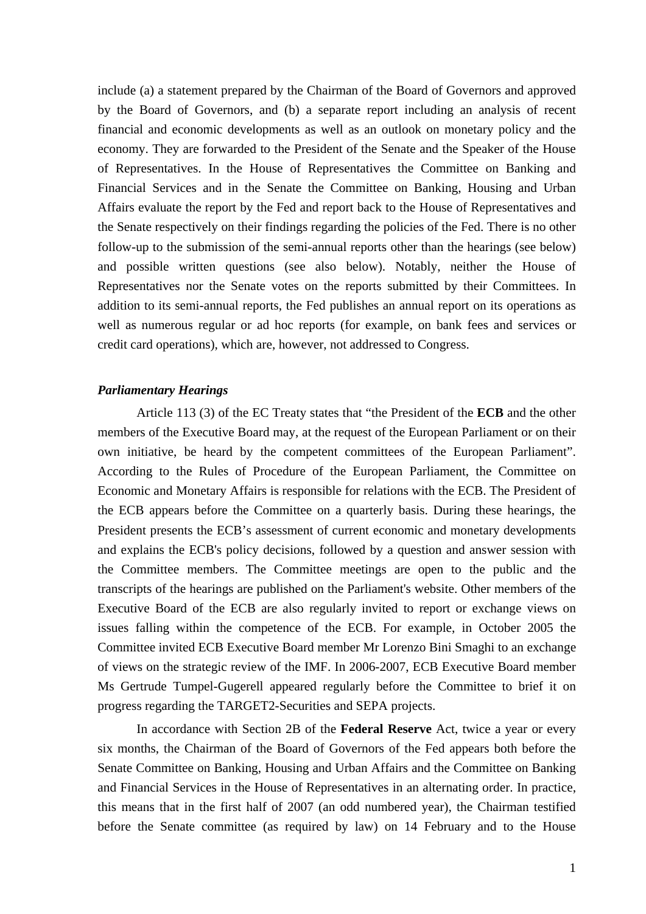include (a) a statement prepared by the Chairman of the Board of Governors and approved by the Board of Governors, and (b) a separate report including an analysis of recent financial and economic developments as well as an outlook on monetary policy and the economy. They are forwarded to the President of the Senate and the Speaker of the House of Representatives. In the House of Representatives the Committee on Banking and Financial Services and in the Senate the Committee on Banking, Housing and Urban Affairs evaluate the report by the Fed and report back to the House of Representatives and the Senate respectively on their findings regarding the policies of the Fed. There is no other follow-up to the submission of the semi-annual reports other than the hearings (see below) and possible written questions (see also below). Notably, neither the House of Representatives nor the Senate votes on the reports submitted by their Committees. In addition to its semi-annual reports, the Fed publishes an annual report on its operations as well as numerous regular or ad hoc reports (for example, on bank fees and services or credit card operations), which are, however, not addressed to Congress.

#### *Parliamentary Hearings*

Article 113 (3) of the EC Treaty states that "the President of the **ECB** and the other members of the Executive Board may, at the request of the European Parliament or on their own initiative, be heard by the competent committees of the European Parliament". According to the Rules of Procedure of the European Parliament, the Committee on Economic and Monetary Affairs is responsible for relations with the ECB. The President of the ECB appears before the Committee on a quarterly basis. During these hearings, the President presents the ECB's assessment of current economic and monetary developments and explains the ECB's policy decisions, followed by a question and answer session with the Committee members. The Committee meetings are open to the public and the transcripts of the hearings are published on the Parliament's website. Other members of the Executive Board of the ECB are also regularly invited to report or exchange views on issues falling within the competence of the ECB. For example, in October 2005 the Committee invited ECB Executive Board member Mr Lorenzo Bini Smaghi to an exchange of views on the strategic review of the IMF. In 2006-2007, ECB Executive Board member Ms Gertrude Tumpel-Gugerell appeared regularly before the Committee to brief it on progress regarding the TARGET2-Securities and SEPA projects.

In accordance with Section 2B of the **Federal Reserve** Act, twice a year or every six months, the Chairman of the Board of Governors of the Fed appears both before the Senate Committee on Banking, Housing and Urban Affairs and the Committee on Banking and Financial Services in the House of Representatives in an alternating order. In practice, this means that in the first half of 2007 (an odd numbered year), the Chairman testified before the Senate committee (as required by law) on 14 February and to the House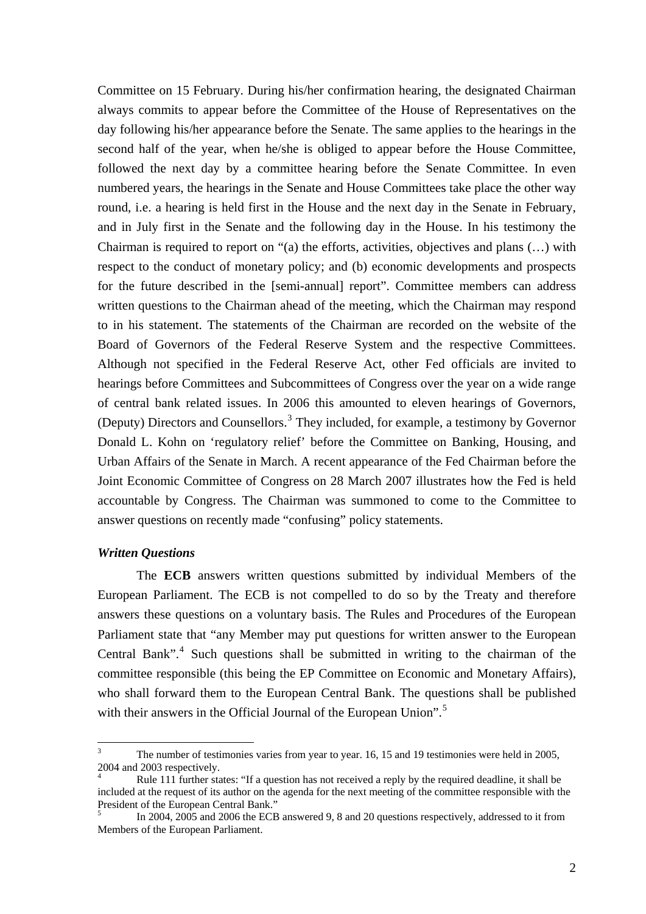Committee on 15 February. During his/her confirmation hearing, the designated Chairman always commits to appear before the Committee of the House of Representatives on the day following his/her appearance before the Senate. The same applies to the hearings in the second half of the year, when he/she is obliged to appear before the House Committee, followed the next day by a committee hearing before the Senate Committee. In even numbered years, the hearings in the Senate and House Committees take place the other way round, i.e. a hearing is held first in the House and the next day in the Senate in February, and in July first in the Senate and the following day in the House. In his testimony the Chairman is required to report on "(a) the efforts, activities, objectives and plans (…) with respect to the conduct of monetary policy; and (b) economic developments and prospects for the future described in the [semi-annual] report". Committee members can address written questions to the Chairman ahead of the meeting, which the Chairman may respond to in his statement. The statements of the Chairman are recorded on the website of the Board of Governors of the Federal Reserve System and the respective Committees. Although not specified in the Federal Reserve Act, other Fed officials are invited to hearings before Committees and Subcommittees of Congress over the year on a wide range of central bank related issues. In 2006 this amounted to eleven hearings of Governors, (Deputy) Directors and Counsellors.<sup>[3](#page-2-0)</sup> They included, for example, a testimony by Governor Donald L. Kohn on 'regulatory relief' before the Committee on Banking, Housing, and Urban Affairs of the Senate in March. A recent appearance of the Fed Chairman before the Joint Economic Committee of Congress on 28 March 2007 illustrates how the Fed is held accountable by Congress. The Chairman was summoned to come to the Committee to answer questions on recently made "confusing" policy statements.

### *Written Questions*

1

The **ECB** answers written questions submitted by individual Members of the European Parliament. The ECB is not compelled to do so by the Treaty and therefore answers these questions on a voluntary basis. The Rules and Procedures of the European Parliament state that "any Member may put questions for written answer to the European Central Bank".<sup>[4](#page-2-1)</sup> Such questions shall be submitted in writing to the chairman of the committee responsible (this being the EP Committee on Economic and Monetary Affairs), who shall forward them to the European Central Bank. The questions shall be published with their answers in the Official Journal of the European Union".<sup>[5](#page-2-2)</sup>

<span id="page-2-0"></span><sup>3</sup> The number of testimonies varies from year to year. 16, 15 and 19 testimonies were held in 2005, 2004 and 2003 respectively.

<span id="page-2-1"></span><sup>4</sup> Rule 111 further states: "If a question has not received a reply by the required deadline, it shall be included at the request of its author on the agenda for the next meeting of the committee responsible with the President of the European Central Bank."

<span id="page-2-2"></span><sup>5</sup> In 2004, 2005 and 2006 the ECB answered 9, 8 and 20 questions respectively, addressed to it from Members of the European Parliament.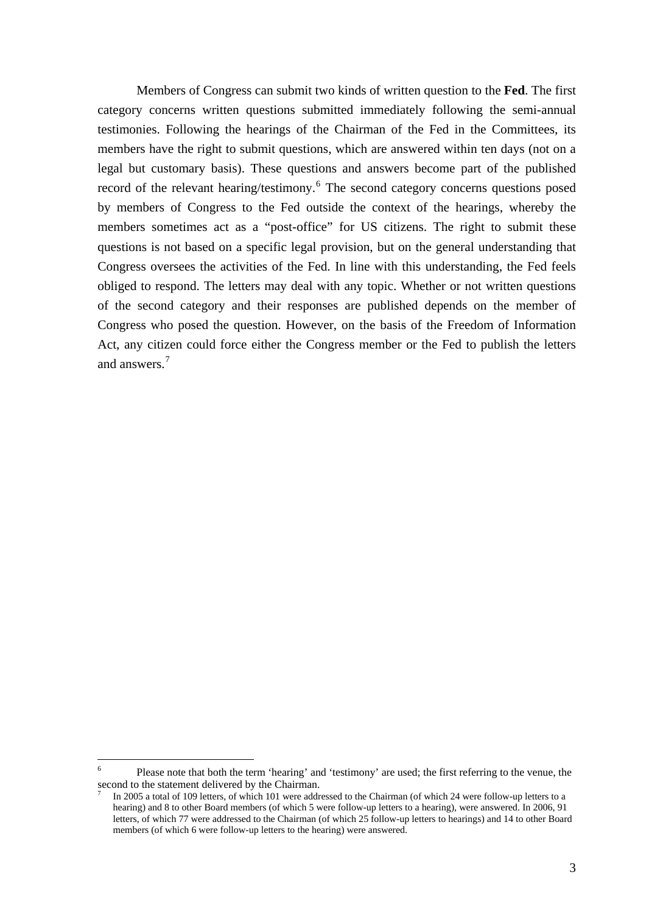Members of Congress can submit two kinds of written question to the **Fed**. The first category concerns written questions submitted immediately following the semi-annual testimonies. Following the hearings of the Chairman of the Fed in the Committees, its members have the right to submit questions, which are answered within ten days (not on a legal but customary basis). These questions and answers become part of the published record of the relevant hearing/testimony.<sup>[6](#page-3-0)</sup> The second category concerns questions posed by members of Congress to the Fed outside the context of the hearings, whereby the members sometimes act as a "post-office" for US citizens. The right to submit these questions is not based on a specific legal provision, but on the general understanding that Congress oversees the activities of the Fed. In line with this understanding, the Fed feels obliged to respond. The letters may deal with any topic. Whether or not written questions of the second category and their responses are published depends on the member of Congress who posed the question. However, on the basis of the Freedom of Information Act, any citizen could force either the Congress member or the Fed to publish the letters and answers.<sup>[7](#page-3-1)</sup>

<span id="page-3-0"></span> $\frac{1}{6}$  Please note that both the term 'hearing' and 'testimony' are used; the first referring to the venue, the second to the statement delivered by the Chairman.

<span id="page-3-1"></span><sup>7</sup> In 2005 a total of 109 letters, of which 101 were addressed to the Chairman (of which 24 were follow-up letters to a hearing) and 8 to other Board members (of which 5 were follow-up letters to a hearing), were answered. In 2006, 91 letters, of which 77 were addressed to the Chairman (of which 25 follow-up letters to hearings) and 14 to other Board members (of which 6 were follow-up letters to the hearing) were answered.